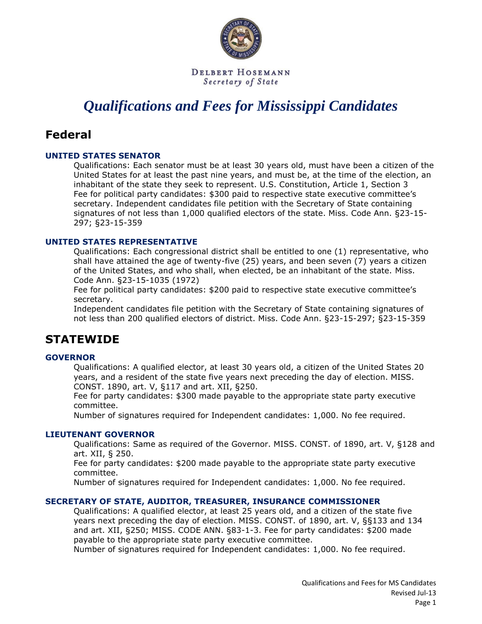

DELBERT HOSEMANN Secretary of State

# *Qualifications and Fees for Mississippi Candidates*

# **Federal**

# **UNITED STATES SENATOR**

Qualifications: Each senator must be at least 30 years old, must have been a citizen of the United States for at least the past nine years, and must be, at the time of the election, an inhabitant of the state they seek to represent. U.S. Constitution, Article 1, Section 3 Fee for political party candidates: \$300 paid to respective state executive committee's secretary. Independent candidates file petition with the Secretary of State containing signatures of not less than 1,000 qualified electors of the state. Miss. Code Ann. §23-15- 297; §23-15-359

# **UNITED STATES REPRESENTATIVE**

Qualifications: Each congressional district shall be entitled to one (1) representative, who shall have attained the age of twenty-five (25) years, and been seven (7) years a citizen of the United States, and who shall, when elected, be an inhabitant of the state. Miss. Code Ann. §23-15-1035 (1972)

Fee for political party candidates: \$200 paid to respective state executive committee's secretary.

Independent candidates file petition with the Secretary of State containing signatures of not less than 200 qualified electors of district. Miss. Code Ann. §23-15-297; §23-15-359

# **STATEWIDE**

# **GOVERNOR**

Qualifications: A qualified elector, at least 30 years old, a citizen of the United States 20 years, and a resident of the state five years next preceding the day of election. MISS. CONST. 1890, art. V, §117 and art. XII, §250.

Fee for party candidates: \$300 made payable to the appropriate state party executive committee.

Number of signatures required for Independent candidates: 1,000. No fee required.

#### **LIEUTENANT GOVERNOR**

Qualifications: Same as required of the Governor. MISS. CONST. of 1890, art. V, §128 and art. XII, § 250.

Fee for party candidates: \$200 made payable to the appropriate state party executive committee.

Number of signatures required for Independent candidates: 1,000. No fee required.

# **SECRETARY OF STATE, AUDITOR, TREASURER, INSURANCE COMMISSIONER**

Qualifications: A qualified elector, at least 25 years old, and a citizen of the state five years next preceding the day of election. MISS. CONST. of 1890, art. V, §§133 and 134 and art. XII, §250; MISS. CODE ANN. §83-1-3. Fee for party candidates: \$200 made payable to the appropriate state party executive committee.

Number of signatures required for Independent candidates: 1,000. No fee required.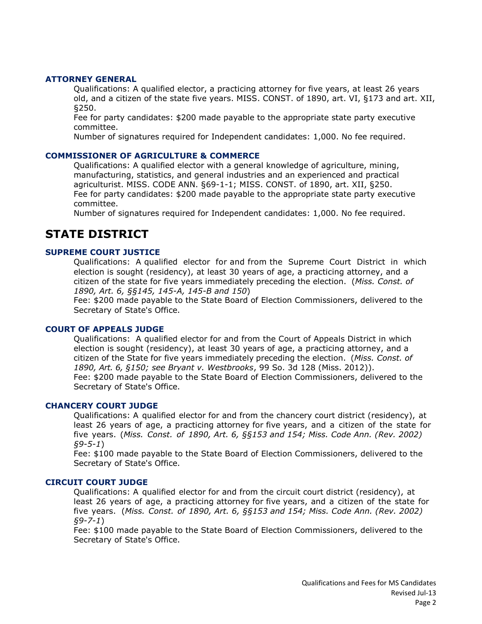#### **ATTORNEY GENERAL**

Qualifications: A qualified elector, a practicing attorney for five years, at least 26 years old, and a citizen of the state five years. MISS. CONST. of 1890, art. VI, §173 and art. XII, §250.

Fee for party candidates: \$200 made payable to the appropriate state party executive committee.

Number of signatures required for Independent candidates: 1,000. No fee required.

#### **COMMISSIONER OF AGRICULTURE & COMMERCE**

Qualifications: A qualified elector with a general knowledge of agriculture, mining, manufacturing, statistics, and general industries and an experienced and practical agriculturist. MISS. CODE ANN. §69-1-1; MISS. CONST. of 1890, art. XII, §250. Fee for party candidates: \$200 made payable to the appropriate state party executive committee.

Number of signatures required for Independent candidates: 1,000. No fee required.

# **STATE DISTRICT**

### **SUPREME COURT JUSTICE**

Qualifications: A qualified elector for and from the Supreme Court District in which election is sought (residency), at least 30 years of age, a practicing attorney, and a citizen of the state for five years immediately preceding the election. (*Miss. Const. of 1890, Art. 6, §§145, 145-A, 145-B and 150*)

Fee: \$200 made payable to the State Board of Election Commissioners, delivered to the Secretary of State's Office.

#### **COURT OF APPEALS JUDGE**

Qualifications: A qualified elector for and from the Court of Appeals District in which election is sought (residency), at least 30 years of age, a practicing attorney, and a citizen of the State for five years immediately preceding the election. (*Miss. Const. of 1890, Art. 6, §150; see Bryant v. Westbrooks*, 99 So. 3d 128 (Miss. 2012)). Fee: \$200 made payable to the State Board of Election Commissioners, delivered to the Secretary of State's Office.

#### **CHANCERY COURT JUDGE**

Qualifications: A qualified elector for and from the chancery court district (residency), at least 26 years of age, a practicing attorney for five years, and a citizen of the state for five years. (*Miss. Const. of 1890, Art. 6, §§153 and 154; Miss. Code Ann. (Rev. 2002) §9-5-1*)

Fee: \$100 made payable to the State Board of Election Commissioners, delivered to the Secretary of State's Office.

#### **CIRCUIT COURT JUDGE**

Qualifications: A qualified elector for and from the circuit court district (residency), at least 26 years of age, a practicing attorney for five years, and a citizen of the state for five years. (*Miss. Const. of 1890, Art. 6, §§153 and 154; Miss. Code Ann. (Rev. 2002) §9-7-1*)

Fee: \$100 made payable to the State Board of Election Commissioners, delivered to the Secretary of State's Office.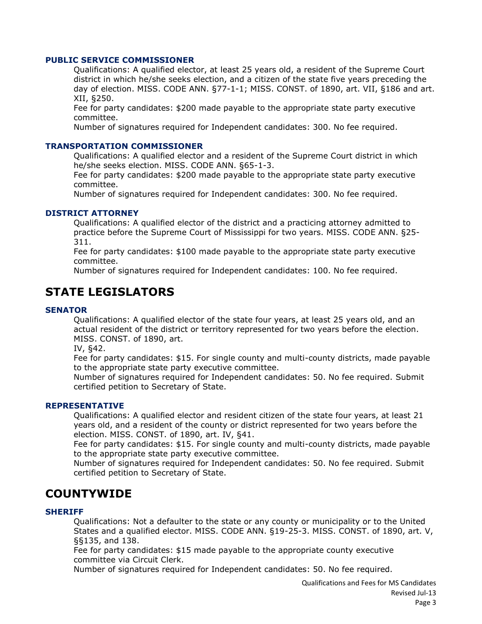#### **PUBLIC SERVICE COMMISSIONER**

Qualifications: A qualified elector, at least 25 years old, a resident of the Supreme Court district in which he/she seeks election, and a citizen of the state five years preceding the day of election. MISS. CODE ANN. §77-1-1; MISS. CONST. of 1890, art. VII, §186 and art. XII, §250.

Fee for party candidates: \$200 made payable to the appropriate state party executive committee.

Number of signatures required for Independent candidates: 300. No fee required.

#### **TRANSPORTATION COMMISSIONER**

Qualifications: A qualified elector and a resident of the Supreme Court district in which he/she seeks election. MISS. CODE ANN. §65-1-3.

Fee for party candidates: \$200 made payable to the appropriate state party executive committee.

Number of signatures required for Independent candidates: 300. No fee required.

#### **DISTRICT ATTORNEY**

Qualifications: A qualified elector of the district and a practicing attorney admitted to practice before the Supreme Court of Mississippi for two years. MISS. CODE ANN. §25- 311.

Fee for party candidates: \$100 made payable to the appropriate state party executive committee.

Number of signatures required for Independent candidates: 100. No fee required.

# **STATE LEGISLATORS**

#### **SENATOR**

Qualifications: A qualified elector of the state four years, at least 25 years old, and an actual resident of the district or territory represented for two years before the election. MISS. CONST. of 1890, art.

IV, §42.

Fee for party candidates: \$15. For single county and multi-county districts, made payable to the appropriate state party executive committee.

Number of signatures required for Independent candidates: 50. No fee required. Submit certified petition to Secretary of State.

#### **REPRESENTATIVE**

Qualifications: A qualified elector and resident citizen of the state four years, at least 21 years old, and a resident of the county or district represented for two years before the election. MISS. CONST. of 1890, art. IV, §41.

Fee for party candidates: \$15. For single county and multi-county districts, made payable to the appropriate state party executive committee.

Number of signatures required for Independent candidates: 50. No fee required. Submit certified petition to Secretary of State.

# **COUNTYWIDE**

#### **SHERIFF**

Qualifications: Not a defaulter to the state or any county or municipality or to the United States and a qualified elector. MISS. CODE ANN. §19-25-3. MISS. CONST. of 1890, art. V, §§135, and 138.

Fee for party candidates: \$15 made payable to the appropriate county executive committee via Circuit Clerk.

Number of signatures required for Independent candidates: 50. No fee required.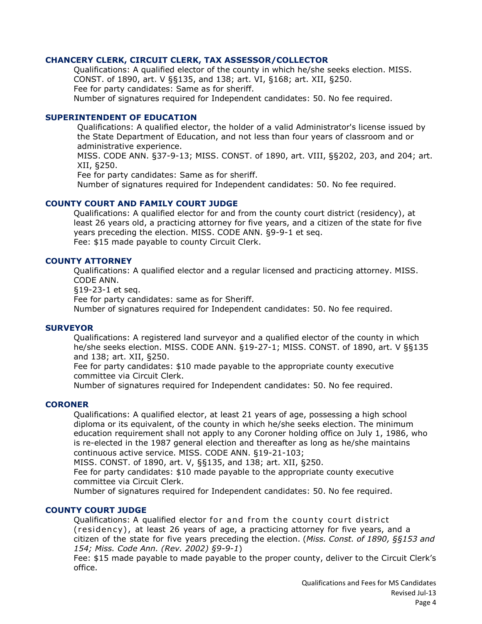### **CHANCERY CLERK, CIRCUIT CLERK, TAX ASSESSOR/COLLECTOR**

Qualifications: A qualified elector of the county in which he/she seeks election. MISS. CONST. of 1890, art. V §§135, and 138; art. VI, §168; art. XII, §250. Fee for party candidates: Same as for sheriff. Number of signatures required for Independent candidates: 50. No fee required.

#### **SUPERINTENDENT OF EDUCATION**

Qualifications: A qualified elector, the holder of a valid Administrator's license issued by the State Department of Education, and not less than four years of classroom and or administrative experience.

MISS. CODE ANN. §37-9-13; MISS. CONST. of 1890, art. VIII, §§202, 203, and 204; art. XII, §250.

Fee for party candidates: Same as for sheriff.

Number of signatures required for Independent candidates: 50. No fee required.

#### **COUNTY COURT AND FAMILY COURT JUDGE**

Qualifications: A qualified elector for and from the county court district (residency), at least 26 years old, a practicing attorney for five years, and a citizen of the state for five years preceding the election. MISS. CODE ANN. §9-9-1 et seq. Fee: \$15 made payable to county Circuit Clerk.

## **COUNTY ATTORNEY**

Qualifications: A qualified elector and a regular licensed and practicing attorney. MISS. CODE ANN.

§19-23-1 et seq.

Fee for party candidates: same as for Sheriff.

Number of signatures required for Independent candidates: 50. No fee required.

#### **SURVEYOR**

Qualifications: A registered land surveyor and a qualified elector of the county in which he/she seeks election. MISS. CODE ANN. §19-27-1; MISS. CONST. of 1890, art. V §§135 and 138; art. XII, §250.

Fee for party candidates: \$10 made payable to the appropriate county executive committee via Circuit Clerk.

Number of signatures required for Independent candidates: 50. No fee required.

#### **CORONER**

Qualifications: A qualified elector, at least 21 years of age, possessing a high school diploma or its equivalent, of the county in which he/she seeks election. The minimum education requirement shall not apply to any Coroner holding office on July 1, 1986, who is re-elected in the 1987 general election and thereafter as long as he/she maintains continuous active service. MISS. CODE ANN. §19-21-103;

MISS. CONST. of 1890, art. V, §§135, and 138; art. XII, §250.

Fee for party candidates: \$10 made payable to the appropriate county executive committee via Circuit Clerk.

Number of signatures required for Independent candidates: 50. No fee required.

#### **COUNTY COURT JUDGE**

Qualifications: A qualified elector for and from the county court district ( residen cy) , at least 26 years of age, a practicing attorney for five years, and a citizen of the state for five years preceding the election. (*Miss. Const. of 1890, §§153 and 154; Miss. Code Ann. (Rev. 2002) §9-9-1*)

Fee: \$15 made payable to made payable to the proper county, deliver to the Circuit Clerk's office.